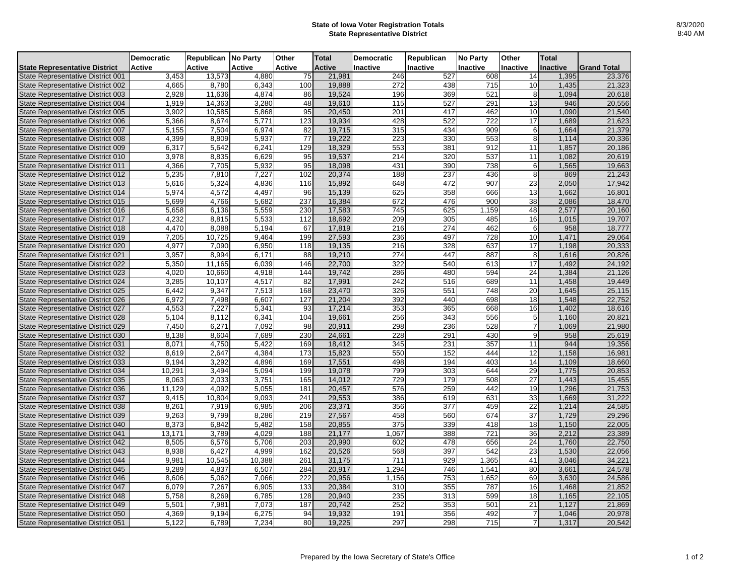## **State of Iowa Voter Registration Totals State Representative District**

|                                      | <b>Democratic</b> | Republican No Party |        | Other  | <b>Total</b>  | <b>Democratic</b> | Republican | <b>No Party</b>  | Other           | <b>Total</b>    |                    |
|--------------------------------------|-------------------|---------------------|--------|--------|---------------|-------------------|------------|------------------|-----------------|-----------------|--------------------|
| <b>State Representative District</b> | <b>Active</b>     | Active              | Active | Active | <b>Active</b> | Inactive          | Inactive   | <b>Inactive</b>  | <b>Inactive</b> | <b>Inactive</b> | <b>Grand Total</b> |
| State Representative District 001    | 3,453             | 13,573              | 4,880  | 75     | 21,981        | 246               | 527        | 608              | 14              | 1,395           | 23,376             |
| State Representative District 002    | 4,665             | 8,780               | 6,343  | 100    | 19,888        | 272               | 438        | 715              | 10              | 1,435           | 21,323             |
| State Representative District 003    | 2.928             | 11,636              | 4.874  | 86     | 19,524        | 196               | 369        | 521              | 8               | 1.094           | 20,618             |
| State Representative District 004    | 1,919             | 14,363              | 3,280  | 48     | 19,610        | 115               | 527        | 291              | 13              | 946             | 20,556             |
| State Representative District 005    | 3,902             | 10,585              | 5,868  | 95     | 20,450        | 201               | 417        | 462              | 10              | 1,090           | 21,540             |
| State Representative District 006    | 5,366             | 8,674               | 5,771  | 123    | 19,934        | 428               | 522        | 722              | 17              | 1,689           | 21,623             |
| State Representative District 007    | 5,155             | 7,504               | 6,974  | 82     | 19,715        | 315               | 434        | 909              | 6               | 1,664           | 21,379             |
| State Representative District 008    | 4,399             | 8,809               | 5,937  | 77     | 19,222        | 223               | 330        | 553              | 8               | 1,114           | 20,336             |
| State Representative District 009    | 6,317             | 5,642               | 6,241  | 129    | 18,329        | 553               | 381        | 912              | 11              | 1,857           | 20,186             |
| State Representative District 010    | 3,978             | 8,835               | 6,629  | 95     | 19,537        | 214               | 320        | 537              | 11              | 1,082           | 20,619             |
| State Representative District 011    | 4,366             | 7,705               | 5,932  | 95     | 18,098        | 431               | 390        | 738              | 6               | 1,565           | 19,663             |
| State Representative District 012    | 5,235             | 7,810               | 7,227  | 102    | 20,374        | 188               | 237        | 436              | 8               | 869             | 21,243             |
| State Representative District 013    | 5,616             | 5,324               | 4,836  | 116    | 15,892        | 648               | 472        | 907              | 23              | 2,050           | 17,942             |
| State Representative District 014    | 5,974             | 4,572               | 4,497  | 96     | 15,139        | 625               | 358        | 666              | 13              | 1,662           | 16,801             |
| State Representative District 015    | 5,699             | 4,766               | 5,682  | 237    | 16,384        | 672               | 476        | 900              | 38              | 2,086           | 18,470             |
| State Representative District 016    | 5,658             | 6,136               | 5,559  | 230    | 17,583        | 745               | 625        | 1,159            | 48              | 2,577           | 20,160             |
| State Representative District 017    | 4,232             | 8,815               | 5,533  | 112    | 18,692        | 209               | 305        | 485              | 16              | 1,015           | 19,707             |
| State Representative District 018    | 4,470             | 8.088               | 5,194  | 67     | 17,819        | 216               | 274        | 462              | 6               | 958             | 18,777             |
| State Representative District 019    | 7,205             | 10,725              | 9,464  | 199    | 27,593        | 236               | 497        | 728              | 10              | 1,471           | 29,064             |
| State Representative District 020    | 4,977             | 7.090               | 6,950  | 118    | 19,135        | 216               | 328        | 637              | 17              | 1,198           | 20,333             |
| State Representative District 021    | 3,957             | 8.994               | 6.171  | 88     | 19,210        | 274               | 447        | 887              | 8               | 1,616           | 20,826             |
| State Representative District 022    | 5,350             | 11,165              | 6,039  | 146    | 22,700        | 322               | 540        | 613              | 17              | 1,492           | 24,192             |
| State Representative District 023    | 4.020             | 10.660              | 4.918  | 144    | 19.742        | 286               | 480        | 594              | 24              | 1.384           | 21.126             |
| State Representative District 024    | 3,285             | 10,107              | 4,517  | 82     | 17,991        | 242               | 516        | 689              | 11              | 1,458           | 19,449             |
| State Representative District 025    | 6,442             | 9,347               | 7,513  | 168    | 23,470        | 326               | 551        | 748              | 20              | 1,645           | 25,115             |
| State Representative District 026    | 6,972             | 7,498               | 6.607  | 127    | 21,204        | 392               | 440        | 698              | 18              | 1,548           | 22,752             |
| State Representative District 027    | 4,553             | 7,227               | 5,341  | 93     | 17,214        | 353               | 365        | 668              | 16              | 1,402           | 18,616             |
| State Representative District 028    | 5,104             | 8,112               | 6,341  | 104    | 19,661        | 256               | 343        | 556              | 5               | 1,160           | 20,821             |
| State Representative District 029    | 7,450             | 6,271               | 7,092  | 98     | 20,911        | 298               | 236        | 528              |                 | 1,069           | 21,980             |
| State Representative District 030    | 8,138             | 8.604               | 7,689  | 230    | 24,661        | 228               | 291        | 430              | 9               | 958             | 25,619             |
| State Representative District 031    | 8,071             | 4,750               | 5,422  | 169    | 18,412        | 345               | 231        | 357              | 11              | 944             | 19,356             |
| State Representative District 032    | 8,619             | 2,647               | 4,384  | 173    | 15,823        | 550               | 152        | 444              | 12              | 1,158           | 16,981             |
| State Representative District 033    | 9,194             | 3,292               | 4,896  | 169    | 17,551        | 498               | 194        | 403              | 14              | 1,109           | 18,660             |
| State Representative District 034    | 10,291            | 3,494               | 5,094  | 199    | 19,078        | 799               | 303        | 644              | 29              | 1,775           | 20,853             |
| State Representative District 035    | 8.063             | 2.033               | 3,751  | 165    | 14.012        | 729               | 179        | 508              | 27              | 1.443           | 15,455             |
| State Representative District 036    | 11,129            | 4,092               | 5,055  | 181    | 20,457        | 576               | 259        | 442              | 19              | 1,296           | 21,753             |
| State Representative District 037    | 9,415             | 10,804              | 9,093  | 241    | 29,553        | 386               | 619        | 631              | 33              | 1,669           | 31,222             |
| State Representative District 038    | 8,261             | 7.919               | 6.985  | 206    | 23,371        | 356               | 377        | 459              | 22              | 1,214           | 24,585             |
| State Representative District 039    | 9,263             | 9,799               | 8,286  | 219    | 27,567        | 458               | 560        | 674              | 37              | 1,729           | 29,296             |
| State Representative District 040    | 8,373             | 6,842               | 5,482  | 158    | 20,855        | $\overline{375}$  | 339        | 418              | 18              | 1,150           | 22,005             |
| State Representative District 041    | 13,171            | 3.789               | 4.029  | 188    | 21,177        | 1,067             | 388        | $\overline{721}$ | 36              | 2.212           | 23,389             |
| State Representative District 042    | 8,505             | 6,576               | 5,706  | 203    | 20,990        | 602               | 478        | 656              | 24              | 1,760           | 22,750             |
| State Representative District 043    | 8,938             | 6,427               | 4,999  | 162    | 20,526        | 568               | 397        | 542              | 23              | 1,530           | 22,056             |
| State Representative District 044    | 9,981             | 10.545              | 10.388 | 261    | 31,175        | 711               | 929        | 1,365            | 41              | 3.046           | 34,221             |
| State Representative District 045    | 9,289             | 4,837               | 6,507  | 284    | 20,917        | 1,294             | 746        | 1,541            | 80              | 3,661           | 24,578             |
| State Representative District 046    | 8,606             | 5,062               | 7,066  | 222    | 20,956        | 1,156             | 753        | 1,652            | 69              | 3,630           | 24,586             |
| State Representative District 047    | 6,079             | 7,267               | 6,905  | 133    | 20,384        | 310               | 355        | 787              | 16              | 1,468           | 21,852             |
| State Representative District 048    | 5,758             | 8,269               | 6,785  | 128    | 20,940        | 235               | 313        | 599              | 18              | 1,165           | 22,105             |
| State Representative District 049    | 5,501             | 7,981               | 7,073  | 187    | 20,742        | 252               | 353        | 501              | 21              | 1,127           | 21,869             |
| State Representative District 050    | 4,369             | 9,194               | 6,275  | 94     | 19,932        | 191               | 356        | 492              | 7               | 1,046           | 20,978             |
| State Representative District 051    | 5,122             | 6,789               | 7,234  | 80     | 19,225        | 297               | 298        | 715              | $\overline{7}$  | 1,317           | 20,542             |